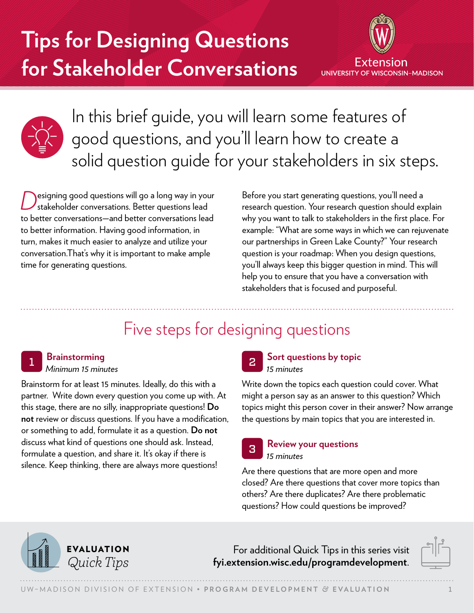# **Tips for Designing Questions for Stakeholder Conversations**





In this brief guide, you will learn some features of good questions, and you'll learn how to create a solid question guide for your stakeholders in six steps.

esigning good questions will go a long way in your stakeholder conversations. Better questions lead to better conversations—and better conversations lead to better information. Having good information, in turn, makes it much easier to analyze and utilize your conversation.That's why it is important to make ample time for generating questions.

Before you start generating questions, you'll need a research question. Your research question should explain why you want to talk to stakeholders in the first place. For example: "What are some ways in which we can rejuvenate our partnerships in Green Lake County?" Your research question is your roadmap: When you design questions, you'll always keep this bigger question in mind. This will help you to ensure that you have a conversation with stakeholders that is focused and purposeful.

### Five steps for designing questions

### <sup>1</sup> **Brainstorming**

#### *Minimum 15 minutes*

Brainstorm for at least 15 minutes. Ideally, do this with a partner. Write down every question you come up with. At this stage, there are no silly, inappropriate questions! **Do not** review or discuss questions. If you have a modification, or something to add, formulate it as a question. **Do not** discuss what kind of questions one should ask. Instead, formulate a question, and share it. It's okay if there is silence. Keep thinking, there are always more questions!

#### <sup>2</sup> **Sort questions by topic** *15 minutes*

Write down the topics each question could cover. What might a person say as an answer to this question? Which topics might this person cover in their answer? Now arrange the questions by main topics that you are interested in.

#### <sup>3</sup> **Review your questions** *15 minutes*

Are there questions that are more open and more closed? Are there questions that cover more topics than others? Are there duplicates? Are there problematic questions? How could questions be improved?



For additional Quick Tips in this series visit *Quick Tips* **[fyi.extension.wisc.edu/programdevelopment](https://fyi.extension.wisc.edu/programdevelopment)**.

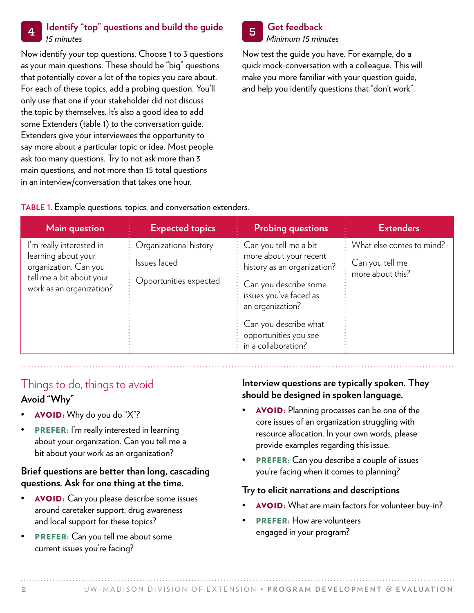#### <sup>4</sup> **Identify "top" questions and build the guide** *15 minutes*

Now identify your top questions. Choose 1 to 3 questions as your main questions. These should be "big" questions that potentially cover a lot of the topics you care about. For each of these topics, add a probing question. You'll only use that one if your stakeholder did not discuss the topic by themselves. It's also a good idea to add some Extenders (table 1) to the conversation guide. Extenders give your interviewees the opportunity to say more about a particular topic or idea. Most people ask too many questions. Try to not ask more than 3 main questions, and not more than 15 total questions in an interview/conversation that takes one hour.



*Minimum 15 minutes*

Now test the guide you have. For example, do a quick mock-conversation with a colleague. This will make you more familiar with your question guide, and help you identify questions that "don't work".

#### **TABLE 1.** Example questions, topics, and conversation extenders.

| Main question                                                                                                                    | <b>Expected topics</b>                                           | <b>Probing questions</b>                                                                                                                                                                                                       | <b>Extenders</b>                                                |
|----------------------------------------------------------------------------------------------------------------------------------|------------------------------------------------------------------|--------------------------------------------------------------------------------------------------------------------------------------------------------------------------------------------------------------------------------|-----------------------------------------------------------------|
| I'm really interested in<br>learning about your<br>organization. Can you<br>tell me a bit about your<br>work as an organization? | Organizational history<br>Issues faced<br>Opportunities expected | Can you tell me a bit<br>more about your recent<br>history as an organization?<br>Can you describe some<br>issues you've faced as<br>an organization?<br>Can you describe what<br>opportunities you see<br>in a collaboration? | What else comes to mind?<br>Can you tell me<br>more about this? |

## Things to do, things to avoid

### **Avoid "Why"**

- AVOID: Why do you do "X"?
- PREFER: I'm really interested in learning about your organization. Can you tell me a bit about your work as an organization?

#### **Brief questions are better than long, cascading questions. Ask for one thing at the time.**

- AVOID: Can you please describe some issues around caretaker support, drug awareness and local support for these topics?
- PREFER: Can you tell me about some current issues you're facing?

#### **Interview questions are typically spoken. They should be designed in spoken language.**

- AVOID: Planning processes can be one of the core issues of an organization struggling with resource allocation. In your own words, please provide examples regarding this issue.
- PREFER: Can you describe a couple of issues you're facing when it comes to planning?

#### **Try to elicit narrations and descriptions**

- AVOID: What are main factors for volunteer buy-in?
- PREFER: How are volunteers engaged in your program?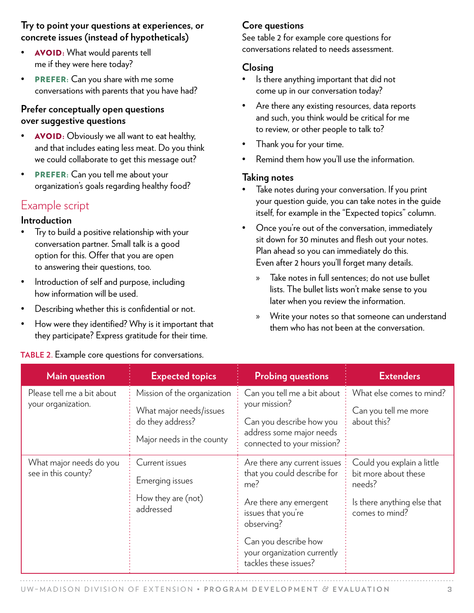#### **Try to point your questions at experiences, or concrete issues (instead of hypotheticals)**

- AVOID: What would parents tell me if they were here today?
- PREFER: Can you share with me some conversations with parents that you have had?

#### **Prefer conceptually open questions over suggestive questions**

- AVOID: Obviously we all want to eat healthy, and that includes eating less meat. Do you think we could collaborate to get this message out?
- **PREFER:** Can you tell me about your organization's goals regarding healthy food?

### Example script

#### **Introduction**

- Try to build a positive relationship with your conversation partner. Small talk is a good option for this. Offer that you are open to answering their questions, too.
- Introduction of self and purpose, including how information will be used.
- Describing whether this is confidential or not.
- How were they identified? Why is it important that they participate? Express gratitude for their time.

#### **TABLE 2.** Example core questions for conversations.

### **Core questions**

See table 2 for example core questions for conversations related to needs assessment.

#### **Closing**

- Is there anything important that did not come up in our conversation today?
- Are there any existing resources, data reports and such, you think would be critical for me to review, or other people to talk to?
- Thank you for your time.
- Remind them how you'll use the information.

#### **Taking notes**

- Take notes during your conversation. If you print your question guide, you can take notes in the guide itself, for example in the "Expected topics" column.
- Once you're out of the conversation, immediately sit down for 30 minutes and flesh out your notes. Plan ahead so you can immediately do this. Even after 2 hours you'll forget many details.
	- » Take notes in full sentences; do not use bullet lists. The bullet lists won't make sense to you later when you review the information.
	- » Write your notes so that someone can understand them who has not been at the conversation.

| <b>Main question</b>                             | <b>Expected topics</b>                                                                                  | <b>Probing questions</b>                                                                                                                                                                                         | <b>Extenders</b>                                                                                              |
|--------------------------------------------------|---------------------------------------------------------------------------------------------------------|------------------------------------------------------------------------------------------------------------------------------------------------------------------------------------------------------------------|---------------------------------------------------------------------------------------------------------------|
| Please tell me a bit about<br>your organization. | Mission of the organization<br>What major needs/issues<br>do they address?<br>Major needs in the county | Can you tell me a bit about :<br>your mission?<br>Can you describe how you<br>address some major needs<br>connected to your mission?                                                                             | What else comes to mind?<br>Can you tell me more<br>about this?                                               |
| What major needs do you<br>see in this county?   | Current issues<br>Emerging issues<br>How they are (not)<br>addressed                                    | Are there any current issues<br>that you could describe for<br>me?<br>Are there any emergent<br>issues that you're<br>observing?<br>Can you describe how<br>your organization currently<br>tackles these issues? | Could you explain a little<br>bit more about these<br>needs?<br>Is there anything else that<br>comes to mind? |